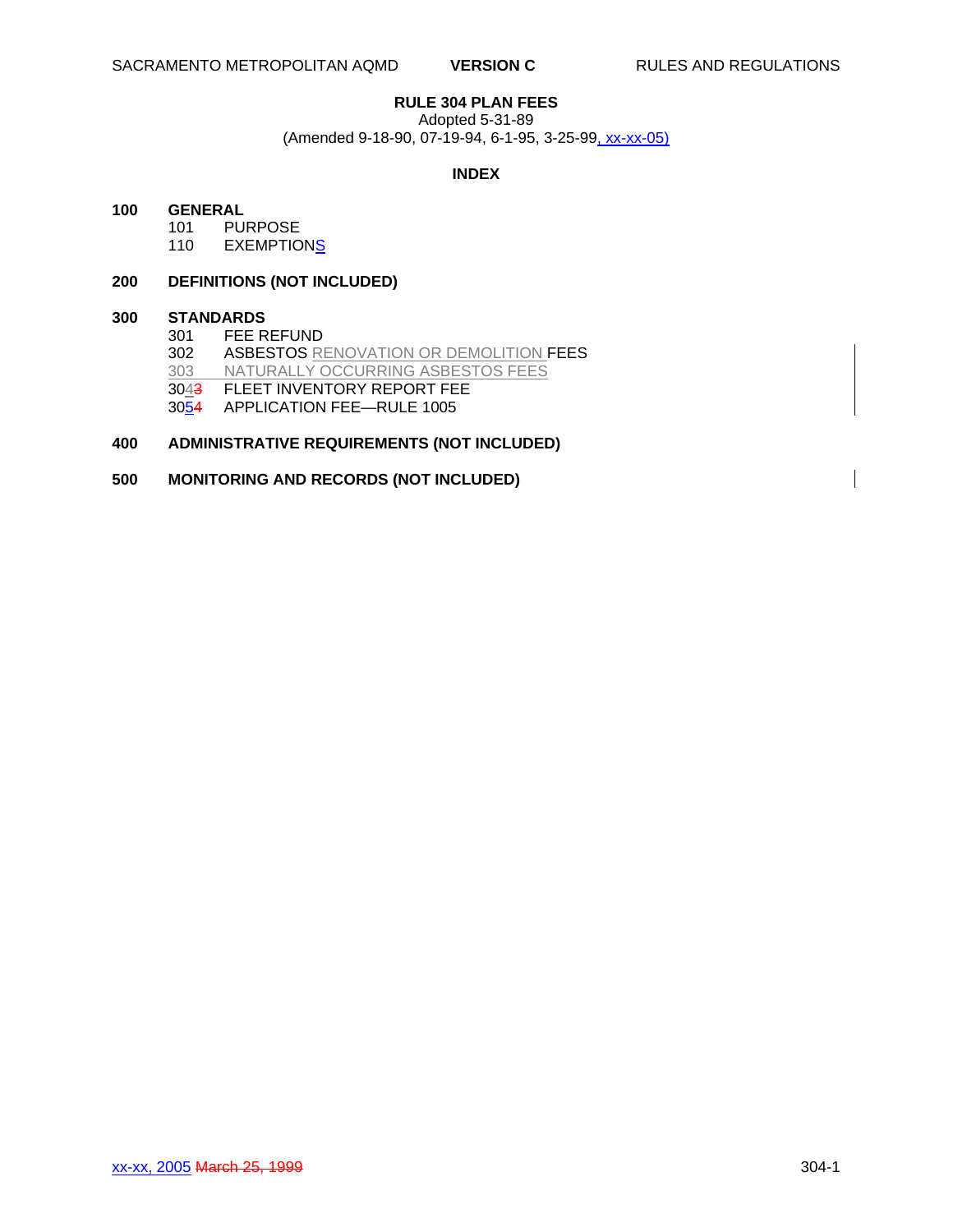# **RULE 304 PLAN FEES**

Adopted 5-31-89

(Amended 9-18-90, 07-19-94, 6-1-95, 3-25-99, xx-xx-05)

#### **INDEX**

#### **100 GENERAL**

101 PURPOSE<br>110 EXEMPTIO

**EXEMPTIONS** 

# **200 DEFINITIONS (NOT INCLUDED)**

# **300 STANDARDS**

FEE REFUND 302 ASBESTOS RENOVATION OR DEMOLITION FEES<br>303 NATURALLY OCCURRING ASBESTOS FEES NATURALLY OCCURRING ASBESTOS FEES 3043 FLEET INVENTORY REPORT FEE 3054 APPLICATION FEE—RULE 1005

# **400 ADMINISTRATIVE REQUIREMENTS (NOT INCLUDED)**

### **500 MONITORING AND RECORDS (NOT INCLUDED)**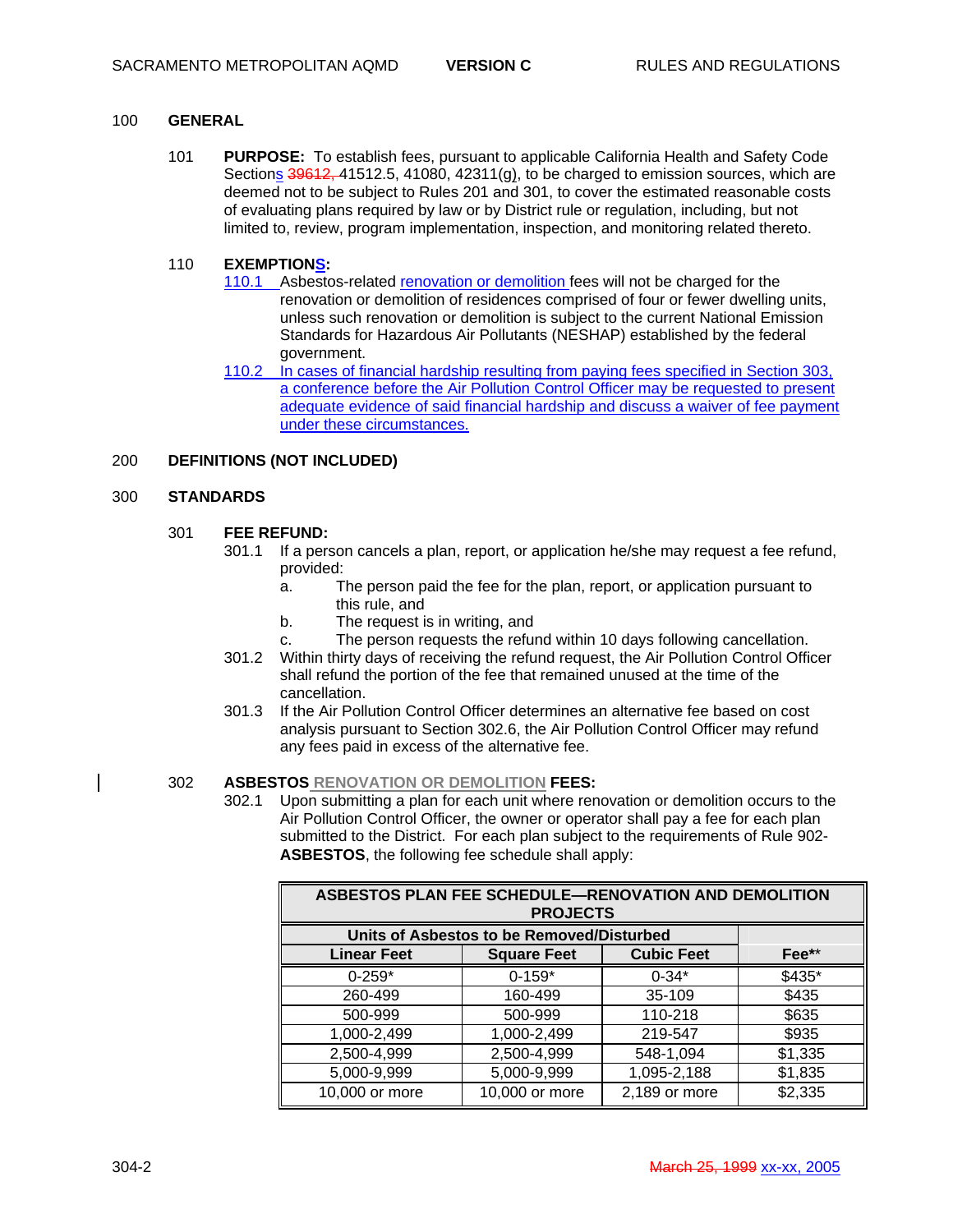#### 100 **GENERAL**

101 **PURPOSE:** To establish fees, pursuant to applicable California Health and Safety Code Sections  $39612, 41512.5, 41080, 42311(g)$ , to be charged to emission sources, which are deemed not to be subject to Rules 201 and 301, to cover the estimated reasonable costs of evaluating plans required by law or by District rule or regulation, including, but not limited to, review, program implementation, inspection, and monitoring related thereto.

#### 110 **EXEMPTIONS:**

- 110.1 Asbestos-related renovation or demolition fees will not be charged for the renovation or demolition of residences comprised of four or fewer dwelling units, unless such renovation or demolition is subject to the current National Emission Standards for Hazardous Air Pollutants (NESHAP) established by the federal government.
- 110.2 In cases of financial hardship resulting from paying fees specified in Section 303, a conference before the Air Pollution Control Officer may be requested to present adequate evidence of said financial hardship and discuss a waiver of fee payment under these circumstances.

#### 200 **DEFINITIONS (NOT INCLUDED)**

#### 300 **STANDARDS**

#### 301 **FEE REFUND:**

- 301.1 If a person cancels a plan, report, or application he/she may request a fee refund, provided:
	- a. The person paid the fee for the plan, report, or application pursuant to this rule, and
	- b. The request is in writing, and
	- c. The person requests the refund within 10 days following cancellation.
- 301.2 Within thirty days of receiving the refund request, the Air Pollution Control Officer shall refund the portion of the fee that remained unused at the time of the cancellation.
- 301.3 If the Air Pollution Control Officer determines an alternative fee based on cost analysis pursuant to Section 302.6, the Air Pollution Control Officer may refund any fees paid in excess of the alternative fee.

#### 302 **ASBESTOS RENOVATION OR DEMOLITION FEES:**

302.1 Upon submitting a plan for each unit where renovation or demolition occurs to the Air Pollution Control Officer, the owner or operator shall pay a fee for each plan submitted to the District. For each plan subject to the requirements of Rule 902- **ASBESTOS**, the following fee schedule shall apply:

| ASBESTOS PLAN FEE SCHEDULE-RENOVATION AND DEMOLITION<br><b>PROJECTS</b> |                    |                   |                     |
|-------------------------------------------------------------------------|--------------------|-------------------|---------------------|
| Units of Asbestos to be Removed/Disturbed                               |                    |                   |                     |
| <b>Linear Feet</b>                                                      | <b>Square Feet</b> | <b>Cubic Feet</b> | $\mathsf{Fee^{**}}$ |
| $0 - 259*$                                                              | $0-159*$           | $0 - 34*$         | \$435*              |
| 260-499                                                                 | 160-499            | 35-109            | \$435               |
| 500-999                                                                 | 500-999            | 110-218           | \$635               |
| 1,000-2,499                                                             | 1,000-2,499        | 219-547           | \$935               |
| 2,500-4,999                                                             | 2,500-4,999        | 548-1,094         | \$1,335             |
| 5,000-9,999                                                             | 5,000-9,999        | 1,095-2,188       | \$1,835             |
| 10,000 or more                                                          | 10,000 or more     | 2,189 or more     | \$2,335             |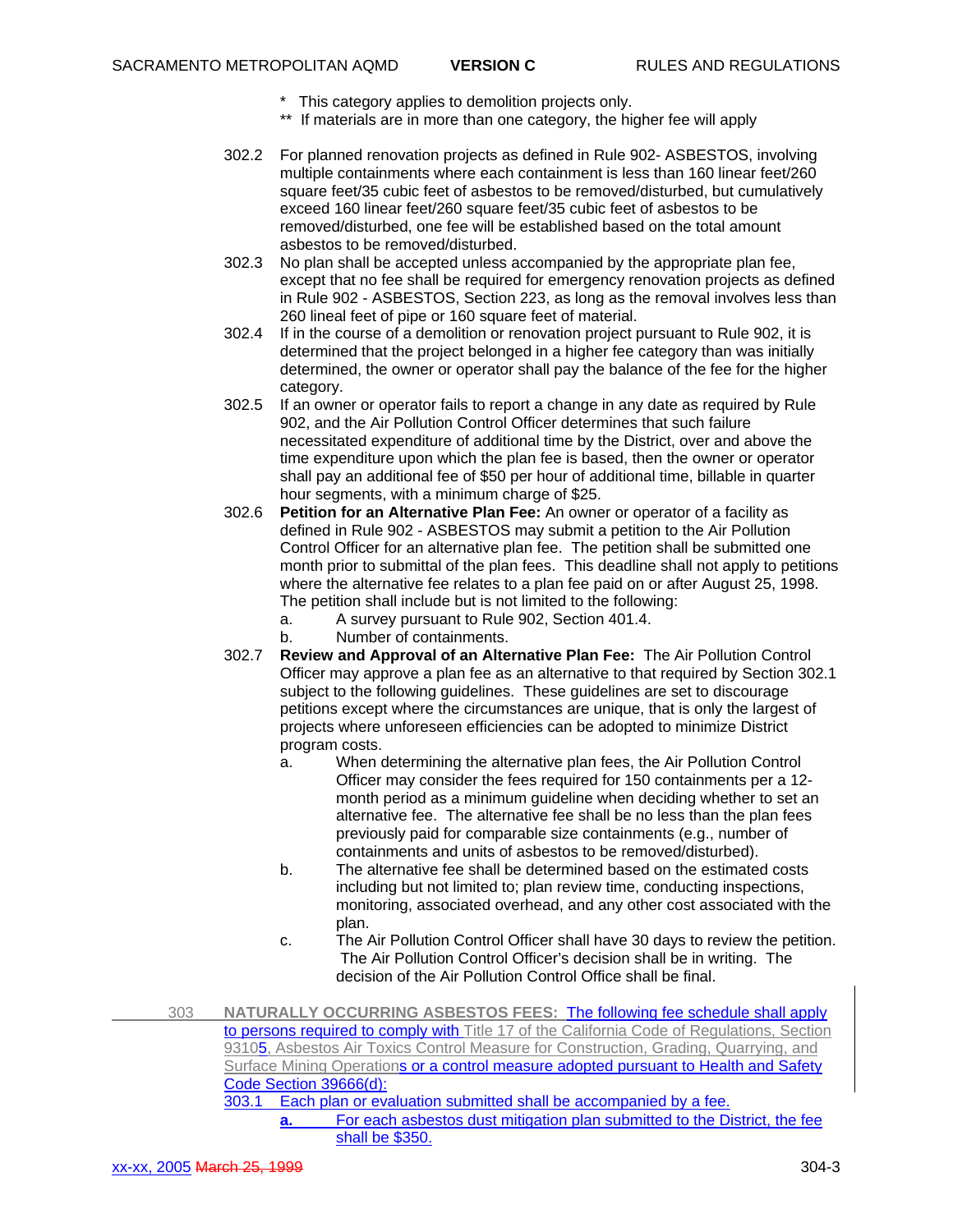- \* This category applies to demolition projects only.
- \*\* If materials are in more than one category, the higher fee will apply
- 302.2 For planned renovation projects as defined in Rule 902- ASBESTOS, involving multiple containments where each containment is less than 160 linear feet/260 square feet/35 cubic feet of asbestos to be removed/disturbed, but cumulatively exceed 160 linear feet/260 square feet/35 cubic feet of asbestos to be removed/disturbed, one fee will be established based on the total amount asbestos to be removed/disturbed.
- 302.3 No plan shall be accepted unless accompanied by the appropriate plan fee, except that no fee shall be required for emergency renovation projects as defined in Rule 902 - ASBESTOS, Section 223, as long as the removal involves less than 260 lineal feet of pipe or 160 square feet of material.
- 302.4 If in the course of a demolition or renovation project pursuant to Rule 902, it is determined that the project belonged in a higher fee category than was initially determined, the owner or operator shall pay the balance of the fee for the higher category.
- 302.5 If an owner or operator fails to report a change in any date as required by Rule 902, and the Air Pollution Control Officer determines that such failure necessitated expenditure of additional time by the District, over and above the time expenditure upon which the plan fee is based, then the owner or operator shall pay an additional fee of \$50 per hour of additional time, billable in quarter hour segments, with a minimum charge of \$25.
- 302.6 **Petition for an Alternative Plan Fee:** An owner or operator of a facility as defined in Rule 902 - ASBESTOS may submit a petition to the Air Pollution Control Officer for an alternative plan fee. The petition shall be submitted one month prior to submittal of the plan fees. This deadline shall not apply to petitions where the alternative fee relates to a plan fee paid on or after August 25, 1998. The petition shall include but is not limited to the following:
	- a. A survey pursuant to Rule 902, Section 401.4.
	- b. Number of containments.
- 302.7 **Review and Approval of an Alternative Plan Fee:** The Air Pollution Control Officer may approve a plan fee as an alternative to that required by Section 302.1 subject to the following guidelines. These guidelines are set to discourage petitions except where the circumstances are unique, that is only the largest of projects where unforeseen efficiencies can be adopted to minimize District program costs.
	- a. When determining the alternative plan fees, the Air Pollution Control Officer may consider the fees required for 150 containments per a 12 month period as a minimum guideline when deciding whether to set an alternative fee. The alternative fee shall be no less than the plan fees previously paid for comparable size containments (e.g., number of containments and units of asbestos to be removed/disturbed).
	- b. The alternative fee shall be determined based on the estimated costs including but not limited to; plan review time, conducting inspections, monitoring, associated overhead, and any other cost associated with the plan.
	- c. The Air Pollution Control Officer shall have 30 days to review the petition. The Air Pollution Control Officer's decision shall be in writing. The decision of the Air Pollution Control Office shall be final.
- 303 **NATURALLY OCCURRING ASBESTOS FEES:** The following fee schedule shall apply to persons required to comply with Title 17 of the California Code of Regulations, Section 93105, Asbestos Air Toxics Control Measure for Construction, Grading, Quarrying, and Surface Mining Operations or a control measure adopted pursuant to Health and Safety Code Section 39666(d): 303.1 Each plan or evaluation submitted shall be accompanied by a fee.

**a.** For each asbestos dust mitigation plan submitted to the District, the fee shall be \$350.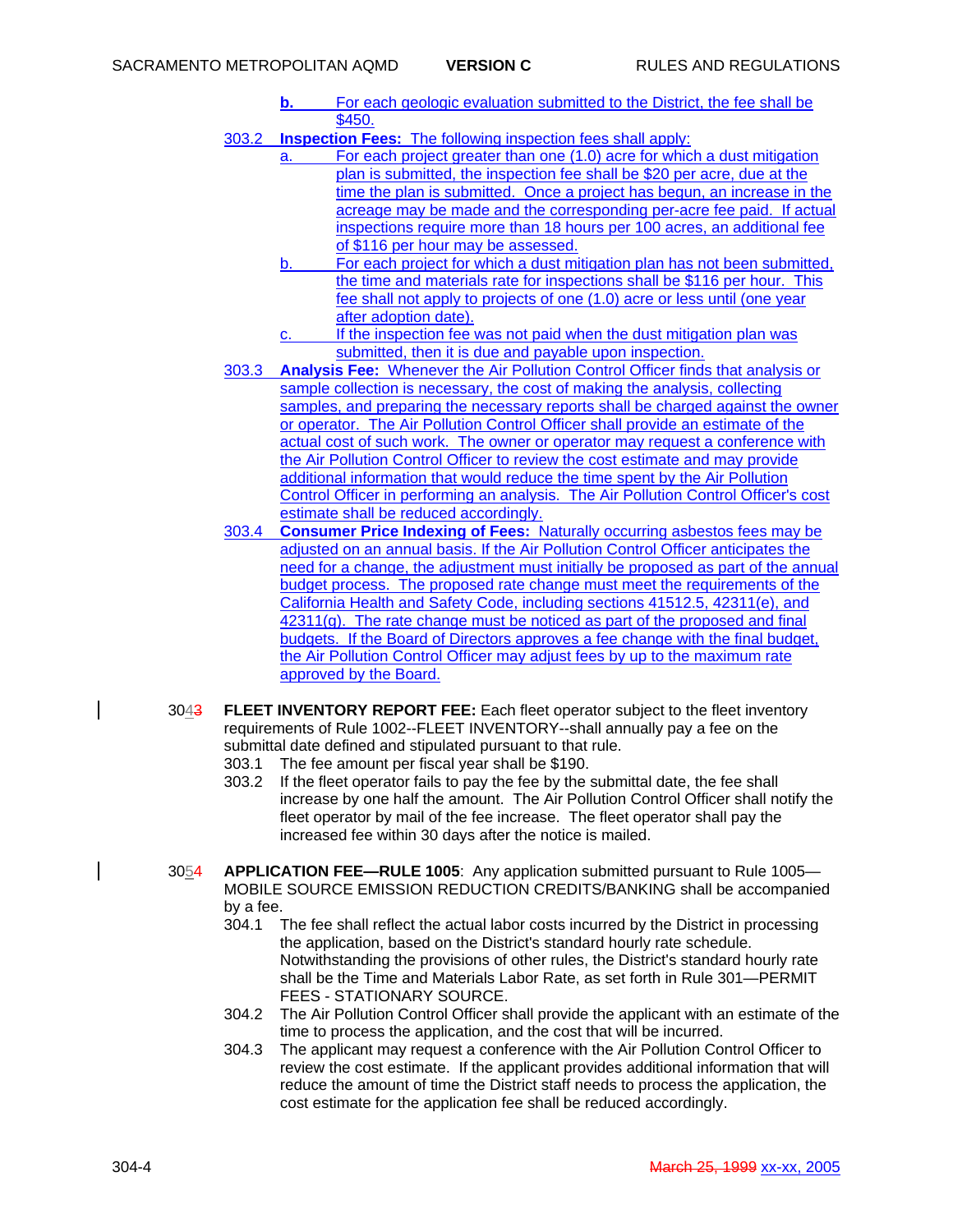- **b.** For each geologic evaluation submitted to the District, the fee shall be \$450.
- 303.2 **Inspection Fees:** The following inspection fees shall apply:
	- a. For each project greater than one (1.0) acre for which a dust mitigation plan is submitted, the inspection fee shall be \$20 per acre, due at the time the plan is submitted. Once a project has begun, an increase in the acreage may be made and the corresponding per-acre fee paid. If actual inspections require more than 18 hours per 100 acres, an additional fee of \$116 per hour may be assessed.
	- b. For each project for which a dust mitigation plan has not been submitted, the time and materials rate for inspections shall be \$116 per hour. This fee shall not apply to projects of one (1.0) acre or less until (one year after adoption date).
	- c. If the inspection fee was not paid when the dust mitigation plan was submitted, then it is due and payable upon inspection.
- 303.3 **Analysis Fee:** Whenever the Air Pollution Control Officer finds that analysis or sample collection is necessary, the cost of making the analysis, collecting samples, and preparing the necessary reports shall be charged against the owner or operator. The Air Pollution Control Officer shall provide an estimate of the actual cost of such work. The owner or operator may request a conference with the Air Pollution Control Officer to review the cost estimate and may provide additional information that would reduce the time spent by the Air Pollution Control Officer in performing an analysis. The Air Pollution Control Officer's cost estimate shall be reduced accordingly.
- 303.4 **Consumer Price Indexing of Fees:** Naturally occurring asbestos fees may be adjusted on an annual basis. If the Air Pollution Control Officer anticipates the need for a change, the adjustment must initially be proposed as part of the annual budget process. The proposed rate change must meet the requirements of the California Health and Safety Code, including sections 41512.5, 42311(e), and  $42311(q)$ . The rate change must be noticed as part of the proposed and final budgets. If the Board of Directors approves a fee change with the final budget, the Air Pollution Control Officer may adjust fees by up to the maximum rate approved by the Board.
- 3043 **FLEET INVENTORY REPORT FEE:** Each fleet operator subject to the fleet inventory requirements of Rule 1002--FLEET INVENTORY--shall annually pay a fee on the submittal date defined and stipulated pursuant to that rule. 303.1 The fee amount per fiscal year shall be \$190.
	- 303.2 If the fleet operator fails to pay the fee by the submittal date, the fee shall increase by one half the amount. The Air Pollution Control Officer shall notify the fleet operator by mail of the fee increase. The fleet operator shall pay the increased fee within 30 days after the notice is mailed.
- 3054 **APPLICATION FEE—RULE 1005**: Any application submitted pursuant to Rule 1005— MOBILE SOURCE EMISSION REDUCTION CREDITS/BANKING shall be accompanied by a fee.
	- 304.1 The fee shall reflect the actual labor costs incurred by the District in processing the application, based on the District's standard hourly rate schedule. Notwithstanding the provisions of other rules, the District's standard hourly rate shall be the Time and Materials Labor Rate, as set forth in Rule 301—PERMIT FEES - STATIONARY SOURCE.
	- 304.2 The Air Pollution Control Officer shall provide the applicant with an estimate of the time to process the application, and the cost that will be incurred.
	- 304.3 The applicant may request a conference with the Air Pollution Control Officer to review the cost estimate. If the applicant provides additional information that will reduce the amount of time the District staff needs to process the application, the cost estimate for the application fee shall be reduced accordingly.